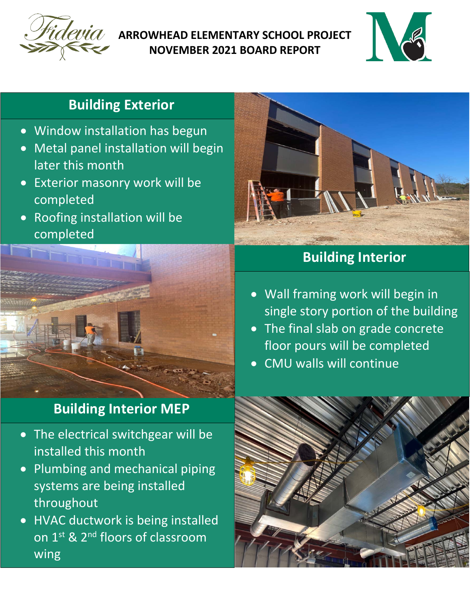

#### **ARROWHEAD ELEMENTARY SCHOOL PROJECT NOVEMBER 2021 BOARD REPORT**



## **Building Exterior**

- Window installation has begun
- Metal panel installation will begin later this month
- Exterior masonry work will be completed
- Roofing installation will be completed



## **Building Interior MEP**

- The electrical switchgear will be installed this month
- Plumbing and mechanical piping systems are being installed throughout
- HVAC ductwork is being installed on 1<sup>st</sup> & 2<sup>nd</sup> floors of classroom wing



# **Building Interior**

- Wall framing work will begin in single story portion of the building
- The final slab on grade concrete floor pours will be completed
- CMU walls will continue

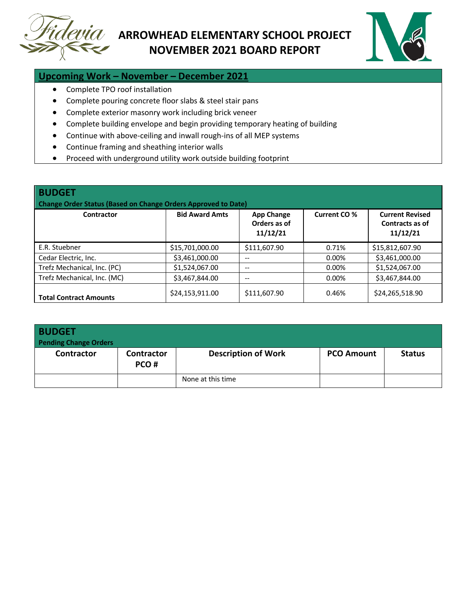

#### **ARROWHEAD ELEMENTARY SCHOOL PROJECT NOVEMBER 2021 BOARD REPORT**



#### **Upcoming Work – November – December 2021**

- Complete TPO roof installation
- Complete pouring concrete floor slabs & steel stair pans
- Complete exterior masonry work including brick veneer
- Complete building envelope and begin providing temporary heating of building
- Continue with above-ceiling and inwall rough-ins of all MEP systems
- Continue framing and sheathing interior walls
- Proceed with underground utility work outside building footprint

| <b>BUDGET</b><br>Change Order Status (Based on Change Orders Approved to Date) |                       |                                               |              |                                                       |  |  |  |
|--------------------------------------------------------------------------------|-----------------------|-----------------------------------------------|--------------|-------------------------------------------------------|--|--|--|
| Contractor                                                                     | <b>Bid Award Amts</b> | <b>App Change</b><br>Orders as of<br>11/12/21 | Current CO % | <b>Current Revised</b><br>Contracts as of<br>11/12/21 |  |  |  |
| E.R. Stuebner                                                                  | \$15,701,000.00       | \$111,607.90                                  | 0.71%        | \$15,812,607.90                                       |  |  |  |
| Cedar Electric, Inc.                                                           | \$3,461,000.00        | $- -$                                         | 0.00%        | \$3,461,000.00                                        |  |  |  |
| Trefz Mechanical, Inc. (PC)                                                    | \$1,524,067.00        | $- -$                                         | $0.00\%$     | \$1,524,067.00                                        |  |  |  |
| Trefz Mechanical, Inc. (MC)                                                    | \$3,467,844.00        | --                                            | 0.00%        | \$3,467,844.00                                        |  |  |  |
| <b>Total Contract Amounts</b>                                                  | \$24,153,911.00       | \$111,607.90                                  | 0.46%        | \$24,265,518.90                                       |  |  |  |

| <b>BUDGET</b><br><b>Pending Change Orders</b> |                    |                            |                   |               |
|-----------------------------------------------|--------------------|----------------------------|-------------------|---------------|
| Contractor                                    | Contractor<br>PCO# | <b>Description of Work</b> | <b>PCO Amount</b> | <b>Status</b> |
|                                               |                    | None at this time          |                   |               |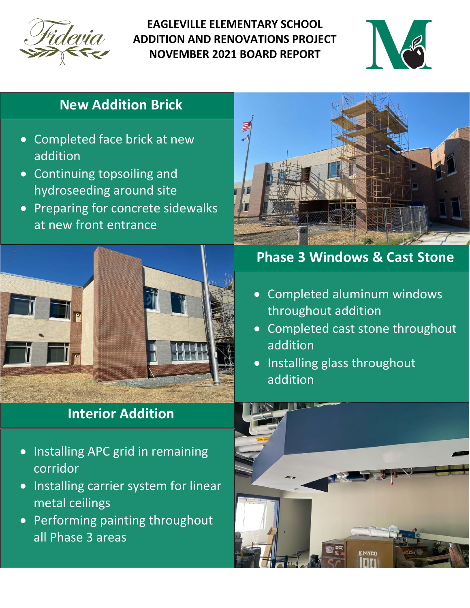

**EAGLEVILLE ELEMENTARY SCHOOL ADDITION AND RENOVATIONS PROJECT NOVEMBER 2021 BOARD REPORT**



### **Spray Foam Insulation Brick**

- Completed face brick at new addition
- Continuing topsoiling and hydroseeding around site
- Preparing for concrete sidewalks at new front entrance



# **Interior Addition**

- Installing APC grid in remaining corridor
- Installing carrier system for linear metal ceilings
- Performing painting throughout all Phase 3 areas



## **Phase 3 Windows & Cast Stone**

- Completed aluminum windows throughout addition
- Completed cast stone throughout addition
- Installing glass throughout addition